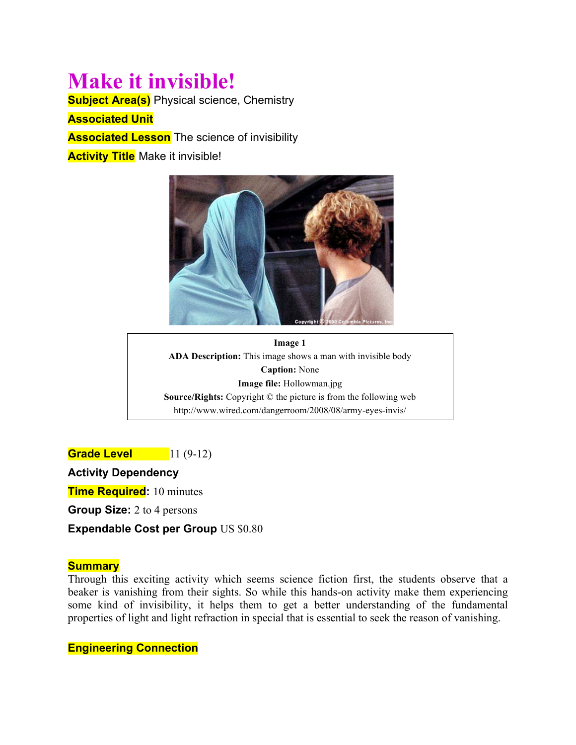# **Make it invisible!**

**Subject Area(s)** Physical science, Chemistry

**Associated Unit**

**Associated Lesson** The science of invisibility

**Activity Title Make it invisible!** 



**Image 1 ADA Description:** This image shows a man with invisible body **Caption:** None **Image file:** Hollowman.jpg **Source/Rights:** Copyright © the picture is from the following web http://www.wired.com/dangerroom/2008/08/army-eyes-invis/

**Grade Level** 11 (9-12)

**Activity Dependency**

**Time Required:** 10 minutes

**Group Size:** 2 to 4 persons

**Expendable Cost per Group** US \$0.80

#### **Summary**

Through this exciting activity which seems science fiction first, the students observe that a beaker is vanishing from their sights. So while this hands-on activity make them experiencing some kind of invisibility, it helps them to get a better understanding of the fundamental properties of light and light refraction in special that is essential to seek the reason of vanishing.

**Engineering Connection**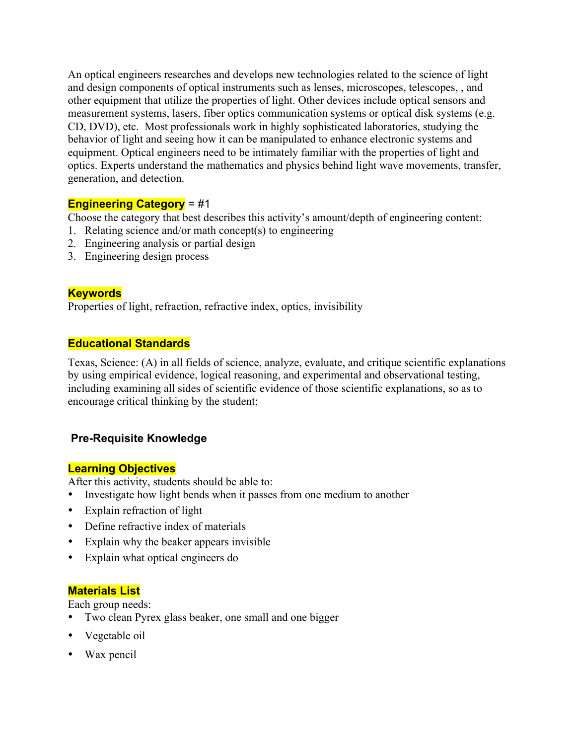An optical engineers researches and develops new technologies related to the science of light and design components of optical instruments such as lenses, microscopes, telescopes, , and other equipment that utilize the properties of light. Other devices include optical sensors and measurement systems, lasers, fiber optics communication systems or optical disk systems (e.g. CD, DVD), etc. Most professionals work in highly sophisticated laboratories, studying the behavior of light and seeing how it can be manipulated to enhance electronic systems and equipment. Optical engineers need to be intimately familiar with the properties of light and optics. Experts understand the mathematics and physics behind light wave movements, transfer, generation, and detection.

#### **Engineering Category** = #1

Choose the category that best describes this activity's amount/depth of engineering content:

- 1. Relating science and/or math concept(s) to engineering
- 2. Engineering analysis or partial design
- 3. Engineering design process

## **Keywords**

Properties of light, refraction, refractive index, optics, invisibility

## **Educational Standards**

Texas, Science: (A) in all fields of science, analyze, evaluate, and critique scientific explanations by using empirical evidence, logical reasoning, and experimental and observational testing, including examining all sides of scientific evidence of those scientific explanations, so as to encourage critical thinking by the student;

# **Pre-Requisite Knowledge**

#### **Learning Objectives**

After this activity, students should be able to:

- Investigate how light bends when it passes from one medium to another
- Explain refraction of light
- Define refractive index of materials
- Explain why the beaker appears invisible
- Explain what optical engineers do

#### **Materials List**

Each group needs:

- Two clean Pyrex glass beaker, one small and one bigger
- Vegetable oil
- Wax pencil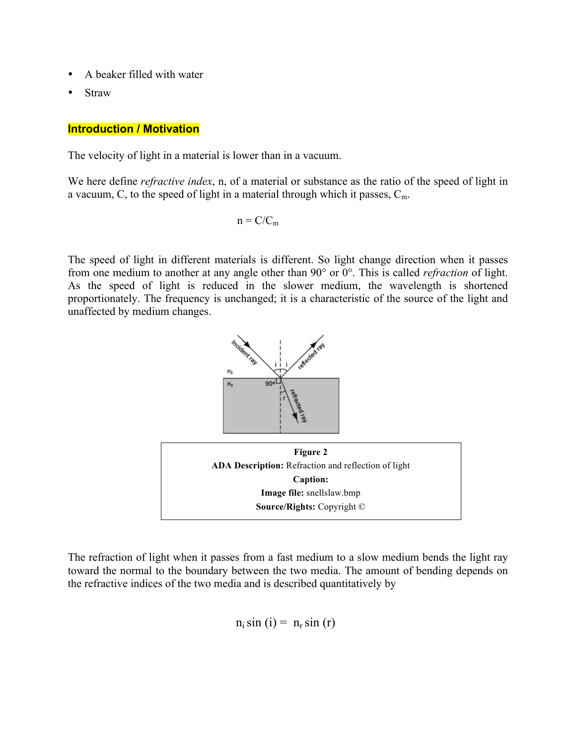- A beaker filled with water
- **Straw**

#### **Introduction / Motivation**

The velocity of light in a material is lower than in a vacuum.

We here define *refractive index*, n, of a material or substance as the ratio of the speed of light in a vacuum, C, to the speed of light in a material through which it passes,  $C_m$ .

$$
n = C/C_m
$$

The speed of light in different materials is different. So light change direction when it passes from one medium to another at any angle other than 90° or 0°. This is called *refraction* of light. As the speed of light is reduced in the slower medium, the wavelength is shortened proportionately. The frequency is unchanged; it is a characteristic of the source of the light and unaffected by medium changes.



The refraction of light when it passes from a fast medium to a slow medium bends the light ray toward the normal to the boundary between the two media. The amount of bending depends on the refractive indices of the two media and is described quantitatively by

 $n_i \sin(i) = n_r \sin(r)$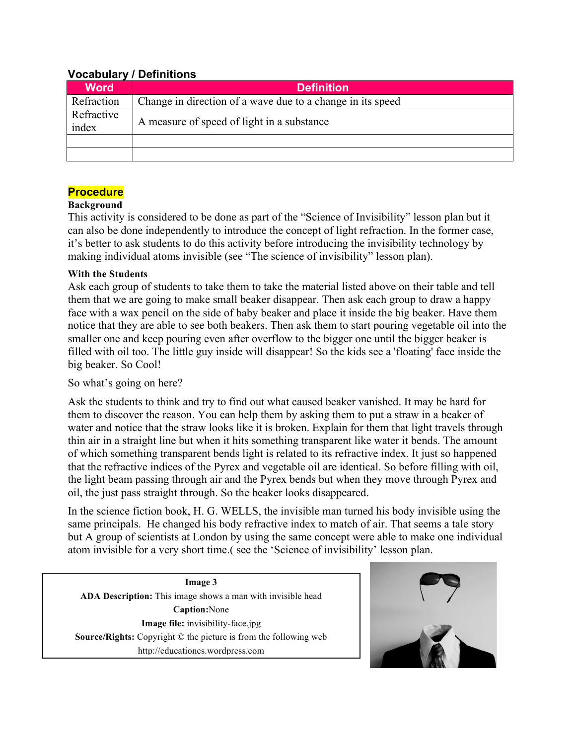| VOCADUIAI V / DEIIIIIIUUIIS |                                                            |
|-----------------------------|------------------------------------------------------------|
| <b>Word</b>                 | <b>Definition</b>                                          |
| Refraction                  | Change in direction of a wave due to a change in its speed |
| Refractive<br>index         | A measure of speed of light in a substance                 |
|                             |                                                            |
|                             |                                                            |

## **Vocabulary / Definitions**

## **Procedure**

#### **Background**

This activity is considered to be done as part of the "Science of Invisibility" lesson plan but it can also be done independently to introduce the concept of light refraction. In the former case, it's better to ask students to do this activity before introducing the invisibility technology by making individual atoms invisible (see "The science of invisibility" lesson plan).

#### **With the Students**

Ask each group of students to take them to take the material listed above on their table and tell them that we are going to make small beaker disappear. Then ask each group to draw a happy face with a wax pencil on the side of baby beaker and place it inside the big beaker. Have them notice that they are able to see both beakers. Then ask them to start pouring vegetable oil into the smaller one and keep pouring even after overflow to the bigger one until the bigger beaker is filled with oil too. The little guy inside will disappear! So the kids see a 'floating' face inside the big beaker. So Cool!

## So what's going on here?

I

Ask the students to think and try to find out what caused beaker vanished. It may be hard for them to discover the reason. You can help them by asking them to put a straw in a beaker of water and notice that the straw looks like it is broken. Explain for them that light travels through thin air in a straight line but when it hits something transparent like water it bends. The amount of which something transparent bends light is related to its refractive index. It just so happened that the refractive indices of the Pyrex and vegetable oil are identical. So before filling with oil, the light beam passing through air and the Pyrex bends but when they move through Pyrex and oil, the just pass straight through. So the beaker looks disappeared.

In the science fiction book, H. G. WELLS, the invisible man turned his body invisible using the same principals. He changed his body refractive index to match of air. That seems a tale story but A group of scientists at London by using the same concept were able to make one individual atom invisible for a very short time.( see the 'Science of invisibility' lesson plan.

**Image 3 ADA Description:** This image shows a man with invisible head **Caption:**None **Image file:** invisibility-face.jpg **Source/Rights:** Copyright © the picture is from the following web http://educationcs.wordpress.com